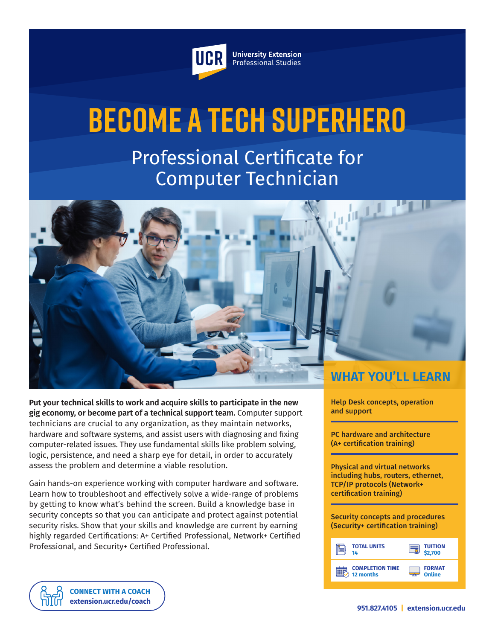

**University Extension** Professional Studies

# **Become a Tech Superhero**

Professional Certificate for Computer Technician



**Put your technical skills to work and acquire skills to participate in the new gig economy, or become part of a technical support team.** Computer support technicians are crucial to any organization, as they maintain networks, hardware and software systems, and assist users with diagnosing and fixing computer-related issues. They use fundamental skills like problem solving, logic, persistence, and need a sharp eye for detail, in order to accurately assess the problem and determine a viable resolution.

Gain hands-on experience working with computer hardware and software. Learn how to troubleshoot and effectively solve a wide-range of problems by getting to know what's behind the screen. Build a knowledge base in security concepts so that you can anticipate and protect against potential security risks. Show that your skills and knowledge are current by earning highly regarded Certifications: A+ Certified Professional, Network+ Certified Professional, and Security+ Certified Professional.

Help Desk concepts, operation and support

PC hardware and architecture (A+ certification training)

Physical and virtual networks including hubs, routers, ethernet, TCP/IP protocols (Network+ certification training)

Security concepts and procedures (Security+ certification training)

| <b>TOTAL UNITS</b>     | <b>TUITION</b> |
|------------------------|----------------|
| 14                     | \$2,700        |
| <b>COMPLETION TIME</b> | <b>FORMAT</b>  |
| 12 months              | Online         |

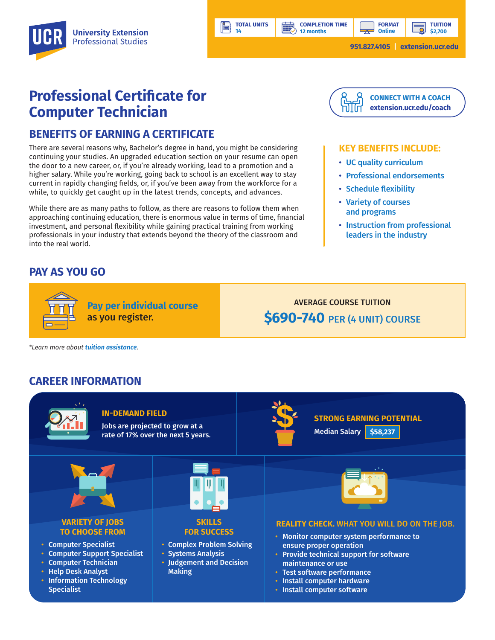**TUITION \$2,700**

# **Professional Certificate for Computer Technician**

## **BENEFITS OF EARNING A CERTIFICATE**

There are several reasons why, Bachelor's degree in hand, you might be considering continuing your studies. An upgraded education section on your resume can open the door to a new career, or, if you're already working, lead to a promotion and a higher salary. While you're working, going back to school is an excellent way to stay current in rapidly changing fields, or, if you've been away from the workforce for a while, to quickly get caught up in the latest trends, concepts, and advances.

While there are as many paths to follow, as there are reasons to follow them when approaching continuing education, there is enormous value in terms of time, financial investment, and personal flexibility while gaining practical training from working professionals in your industry that extends beyond the theory of the classroom and into the real world.

**Pay per individual course**

as you register.

## **PAY AS YOU GO**



#### **KEY BENEFITS INCLUDE:**

- UC quality curriculum
- Professional endorsements
- Schedule flexibility
- Variety of courses and programs
- Instruction from professional leaders in the industry

AVERAGE COURSE TUITION **\$690-740** PER (4 UNIT) COURSE

*\*Learn more about [tuition assistance](https://extension.ucr.edu/helpcenterstudentresources/financialandtuitionassistance).*

### **CAREER INFORMATION**



**TOTAL UNITS 14** 

Ŀi

**12 months**

**BBP**